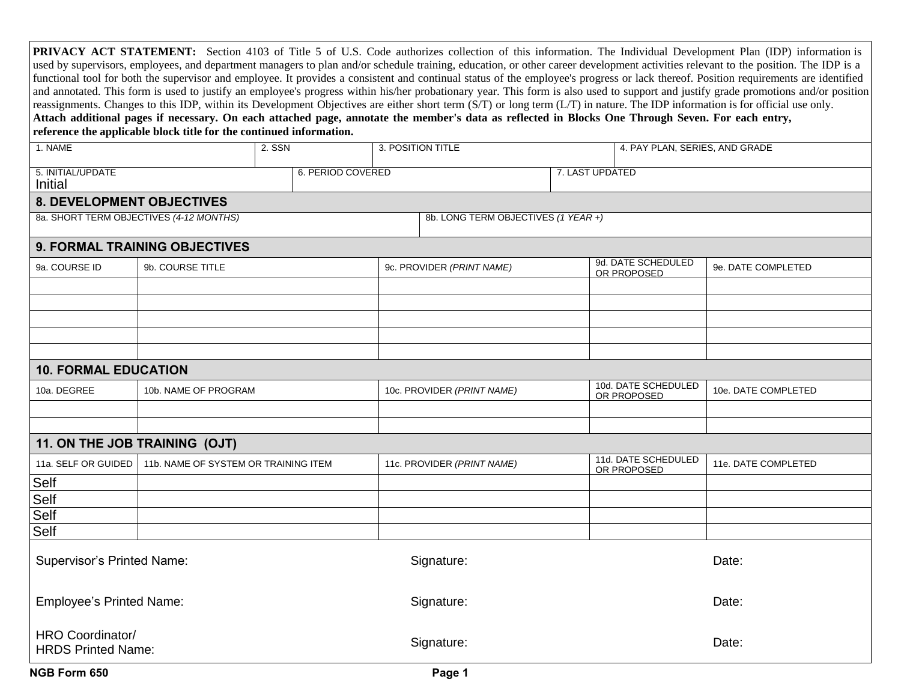|                                               | reference the applicable block title for the continued information. |        |                           |                                     | reassignments. Changes to this IDP, within its Development Objectives are either short term (S/T) or long term (L/T) in nature. The IDP information is for official use only.<br>Attach additional pages if necessary. On each attached page, annotate the member's data as reflected in Blocks One Through Seven. For each entry, |                                   |                                    | <b>PRIVACY ACT STATEMENT:</b> Section 4103 of Title 5 of U.S. Code authorizes collection of this information. The Individual Development Plan (IDP) information is<br>used by supervisors, employees, and department managers to plan and/or schedule training, education, or other career development activities relevant to the position. The IDP is a<br>functional tool for both the supervisor and employee. It provides a consistent and continual status of the employee's progress or lack thereof. Position requirements are identified<br>and annotated. This form is used to justify an employee's progress within his/her probationary year. This form is also used to support and justify grade promotions and/or position |
|-----------------------------------------------|---------------------------------------------------------------------|--------|---------------------------|-------------------------------------|------------------------------------------------------------------------------------------------------------------------------------------------------------------------------------------------------------------------------------------------------------------------------------------------------------------------------------|-----------------------------------|------------------------------------|-----------------------------------------------------------------------------------------------------------------------------------------------------------------------------------------------------------------------------------------------------------------------------------------------------------------------------------------------------------------------------------------------------------------------------------------------------------------------------------------------------------------------------------------------------------------------------------------------------------------------------------------------------------------------------------------------------------------------------------------|
| 1. NAME                                       |                                                                     | 2. SSN |                           | 3. POSITION TITLE                   |                                                                                                                                                                                                                                                                                                                                    |                                   | 4. PAY PLAN, SERIES, AND GRADE     |                                                                                                                                                                                                                                                                                                                                                                                                                                                                                                                                                                                                                                                                                                                                         |
| 5. INITIAL/UPDATE<br>Initial                  |                                                                     |        | 6. PERIOD COVERED         |                                     |                                                                                                                                                                                                                                                                                                                                    | 7. LAST UPDATED                   |                                    |                                                                                                                                                                                                                                                                                                                                                                                                                                                                                                                                                                                                                                                                                                                                         |
| <b>8. DEVELOPMENT OBJECTIVES</b>              |                                                                     |        |                           |                                     |                                                                                                                                                                                                                                                                                                                                    |                                   |                                    |                                                                                                                                                                                                                                                                                                                                                                                                                                                                                                                                                                                                                                                                                                                                         |
| 8a. SHORT TERM OBJECTIVES (4-12 MONTHS)       |                                                                     |        |                           | 8b. LONG TERM OBJECTIVES (1 YEAR +) |                                                                                                                                                                                                                                                                                                                                    |                                   |                                    |                                                                                                                                                                                                                                                                                                                                                                                                                                                                                                                                                                                                                                                                                                                                         |
|                                               | <b>9. FORMAL TRAINING OBJECTIVES</b>                                |        |                           |                                     |                                                                                                                                                                                                                                                                                                                                    |                                   |                                    |                                                                                                                                                                                                                                                                                                                                                                                                                                                                                                                                                                                                                                                                                                                                         |
| 9a. COURSE ID                                 | 9b. COURSE TITLE                                                    |        | 9c. PROVIDER (PRINT NAME) |                                     |                                                                                                                                                                                                                                                                                                                                    | 9d. DATE SCHEDULED<br>OR PROPOSED | 9e. DATE COMPLETED                 |                                                                                                                                                                                                                                                                                                                                                                                                                                                                                                                                                                                                                                                                                                                                         |
|                                               |                                                                     |        |                           |                                     |                                                                                                                                                                                                                                                                                                                                    |                                   |                                    |                                                                                                                                                                                                                                                                                                                                                                                                                                                                                                                                                                                                                                                                                                                                         |
|                                               |                                                                     |        |                           |                                     |                                                                                                                                                                                                                                                                                                                                    |                                   |                                    |                                                                                                                                                                                                                                                                                                                                                                                                                                                                                                                                                                                                                                                                                                                                         |
|                                               |                                                                     |        |                           |                                     |                                                                                                                                                                                                                                                                                                                                    |                                   |                                    |                                                                                                                                                                                                                                                                                                                                                                                                                                                                                                                                                                                                                                                                                                                                         |
|                                               |                                                                     |        |                           |                                     |                                                                                                                                                                                                                                                                                                                                    |                                   |                                    |                                                                                                                                                                                                                                                                                                                                                                                                                                                                                                                                                                                                                                                                                                                                         |
|                                               |                                                                     |        |                           |                                     |                                                                                                                                                                                                                                                                                                                                    |                                   |                                    |                                                                                                                                                                                                                                                                                                                                                                                                                                                                                                                                                                                                                                                                                                                                         |
| <b>10. FORMAL EDUCATION</b>                   |                                                                     |        |                           |                                     |                                                                                                                                                                                                                                                                                                                                    |                                   |                                    |                                                                                                                                                                                                                                                                                                                                                                                                                                                                                                                                                                                                                                                                                                                                         |
| 10a. DEGREE                                   | 10b. NAME OF PROGRAM                                                |        |                           | 10c. PROVIDER (PRINT NAME)          |                                                                                                                                                                                                                                                                                                                                    |                                   | 10d. DATE SCHEDULED<br>OR PROPOSED | 10e. DATE COMPLETED                                                                                                                                                                                                                                                                                                                                                                                                                                                                                                                                                                                                                                                                                                                     |
|                                               |                                                                     |        |                           |                                     |                                                                                                                                                                                                                                                                                                                                    |                                   |                                    |                                                                                                                                                                                                                                                                                                                                                                                                                                                                                                                                                                                                                                                                                                                                         |
|                                               |                                                                     |        |                           |                                     |                                                                                                                                                                                                                                                                                                                                    |                                   |                                    |                                                                                                                                                                                                                                                                                                                                                                                                                                                                                                                                                                                                                                                                                                                                         |
| 11. ON THE JOB TRAINING (OJT)                 |                                                                     |        |                           |                                     |                                                                                                                                                                                                                                                                                                                                    |                                   |                                    |                                                                                                                                                                                                                                                                                                                                                                                                                                                                                                                                                                                                                                                                                                                                         |
| 11a. SELF OR GUIDED                           | 11b. NAME OF SYSTEM OR TRAINING ITEM                                |        |                           | 11c. PROVIDER (PRINT NAME)          |                                                                                                                                                                                                                                                                                                                                    |                                   | 11d. DATE SCHEDULED<br>OR PROPOSED | 11e. DATE COMPLETED                                                                                                                                                                                                                                                                                                                                                                                                                                                                                                                                                                                                                                                                                                                     |
| Self                                          |                                                                     |        |                           |                                     |                                                                                                                                                                                                                                                                                                                                    |                                   |                                    |                                                                                                                                                                                                                                                                                                                                                                                                                                                                                                                                                                                                                                                                                                                                         |
| Self                                          |                                                                     |        |                           |                                     |                                                                                                                                                                                                                                                                                                                                    |                                   |                                    |                                                                                                                                                                                                                                                                                                                                                                                                                                                                                                                                                                                                                                                                                                                                         |
| Self                                          |                                                                     |        |                           |                                     |                                                                                                                                                                                                                                                                                                                                    |                                   |                                    |                                                                                                                                                                                                                                                                                                                                                                                                                                                                                                                                                                                                                                                                                                                                         |
| Self                                          |                                                                     |        |                           |                                     |                                                                                                                                                                                                                                                                                                                                    |                                   |                                    |                                                                                                                                                                                                                                                                                                                                                                                                                                                                                                                                                                                                                                                                                                                                         |
| <b>Supervisor's Printed Name:</b>             |                                                                     |        |                           | Signature:                          |                                                                                                                                                                                                                                                                                                                                    |                                   | Date:                              |                                                                                                                                                                                                                                                                                                                                                                                                                                                                                                                                                                                                                                                                                                                                         |
| <b>Employee's Printed Name:</b>               |                                                                     |        | Signature:                |                                     |                                                                                                                                                                                                                                                                                                                                    |                                   | Date:                              |                                                                                                                                                                                                                                                                                                                                                                                                                                                                                                                                                                                                                                                                                                                                         |
| HRO Coordinator/<br><b>HRDS Printed Name:</b> |                                                                     |        |                           | Signature:                          |                                                                                                                                                                                                                                                                                                                                    |                                   |                                    | Date:                                                                                                                                                                                                                                                                                                                                                                                                                                                                                                                                                                                                                                                                                                                                   |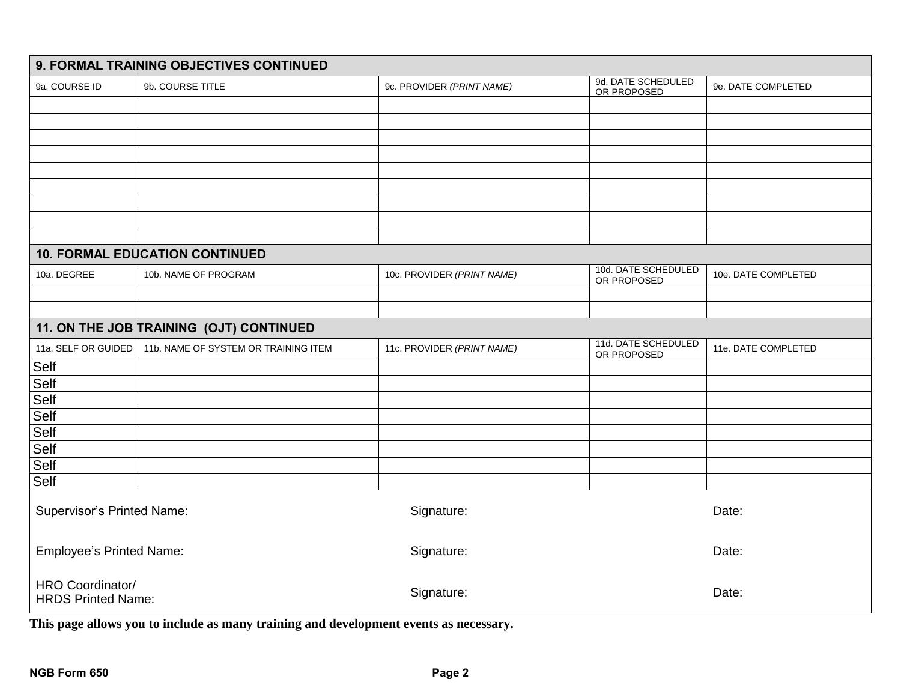| 9. FORMAL TRAINING OBJECTIVES CONTINUED       |                                         |                            |                                    |                     |  |  |  |  |
|-----------------------------------------------|-----------------------------------------|----------------------------|------------------------------------|---------------------|--|--|--|--|
| 9a. COURSE ID                                 | 9b. COURSE TITLE                        | 9c. PROVIDER (PRINT NAME)  | 9d. DATE SCHEDULED<br>OR PROPOSED  | 9e. DATE COMPLETED  |  |  |  |  |
|                                               |                                         |                            |                                    |                     |  |  |  |  |
|                                               |                                         |                            |                                    |                     |  |  |  |  |
|                                               |                                         |                            |                                    |                     |  |  |  |  |
|                                               |                                         |                            |                                    |                     |  |  |  |  |
|                                               |                                         |                            |                                    |                     |  |  |  |  |
|                                               |                                         |                            |                                    |                     |  |  |  |  |
|                                               |                                         |                            |                                    |                     |  |  |  |  |
|                                               |                                         |                            |                                    |                     |  |  |  |  |
|                                               |                                         |                            |                                    |                     |  |  |  |  |
|                                               | <b>10. FORMAL EDUCATION CONTINUED</b>   |                            |                                    |                     |  |  |  |  |
| 10a. DEGREE                                   | 10b. NAME OF PROGRAM                    | 10c. PROVIDER (PRINT NAME) | 10d. DATE SCHEDULED<br>OR PROPOSED | 10e. DATE COMPLETED |  |  |  |  |
|                                               |                                         |                            |                                    |                     |  |  |  |  |
|                                               |                                         |                            |                                    |                     |  |  |  |  |
|                                               | 11. ON THE JOB TRAINING (OJT) CONTINUED |                            |                                    |                     |  |  |  |  |
| 11a. SELF OR GUIDED                           | 11b. NAME OF SYSTEM OR TRAINING ITEM    | 11c. PROVIDER (PRINT NAME) | 11d. DATE SCHEDULED<br>OR PROPOSED | 11e. DATE COMPLETED |  |  |  |  |
| Self                                          |                                         |                            |                                    |                     |  |  |  |  |
| Self                                          |                                         |                            |                                    |                     |  |  |  |  |
| Self                                          |                                         |                            |                                    |                     |  |  |  |  |
| Self                                          |                                         |                            |                                    |                     |  |  |  |  |
| Self                                          |                                         |                            |                                    |                     |  |  |  |  |
| Self                                          |                                         |                            |                                    |                     |  |  |  |  |
| Self                                          |                                         |                            |                                    |                     |  |  |  |  |
| Self                                          |                                         |                            |                                    |                     |  |  |  |  |
| Supervisor's Printed Name:                    |                                         | Signature:                 |                                    | Date:               |  |  |  |  |
| Employee's Printed Name:                      |                                         | Signature:                 |                                    | Date:               |  |  |  |  |
| HRO Coordinator/<br><b>HRDS Printed Name:</b> |                                         | Signature:                 |                                    | Date:               |  |  |  |  |

**This page allows you to include as many training and development events as necessary.**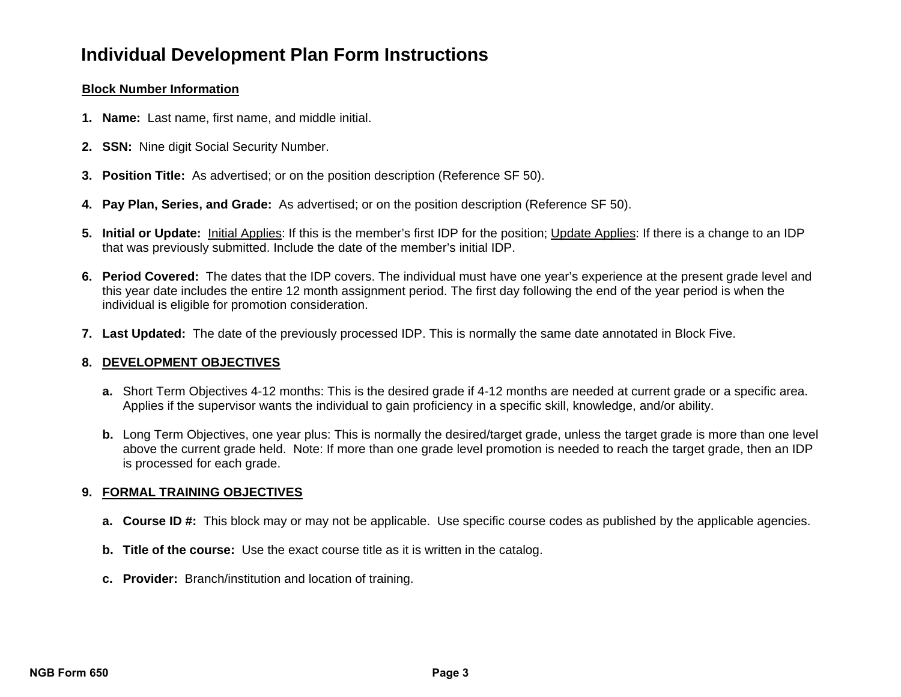### **Block Number Information**

- **1. Name:** Last name, first name, and middle initial.
- **2. SSN:** Nine digit Social Security Number.
- **3. Position Title:** As advertised; or on the position description (Reference SF 50).
- **4. Pay Plan, Series, and Grade:** As advertised; or on the position description (Reference SF 50).
- **5.** Initial or Update: Initial Applies: If this is the member's first IDP for the position; Update Applies: If there is a change to an IDP that was previously submitted. Include the date of the member's initial IDP.
- **6. Period Covered:** The dates that the IDP covers. The individual must have one year's experience at the present grade level and this year date includes the entire 12 month assignment period. The first day following the end of the year period is when the individual is eligible for promotion consideration. **Photon Instructions**<br> **Page 3 Example 10 Page 3 Page 3 Page 3 Page 3 Page 3 Page 3 Page 3 Page 3 Page 3 Page 3 Page 3 Page 3 Page 3 Page 3 Page 3 Page 3 Page 3 Page 3 Page 3 Page**
- **7. Last Updated:** The date of the previously processed IDP. This is normally the same date annotated in Block Five.

# **8. DEVELOPMENT OBJECTIVES**

- **a.** Short Term Objectives 4-12 months: This is the desired grade if 4-12 months are needed at current grade or a specific area. Applies if the supervisor wants the individual to gain proficiency in a specific skill, knowledge, and/or ability.
- **b.** Long Term Objectives, one year plus: This is normally the desired/target grade, unless the target grade is more than one level above the current grade held. Note: If more than one grade level promotion is needed to reach the target grade, then an IDP is processed for each grade.

# **9. FORMAL TRAINING OBJECTIVES**

- **a. Course ID #:** This block may or may not be applicable. Use specific course codes as published by the applicable agencies.
- **b. Title of the course:** Use the exact course title as it is written in the catalog.
- **c. Provider:** Branch/institution and location of training.